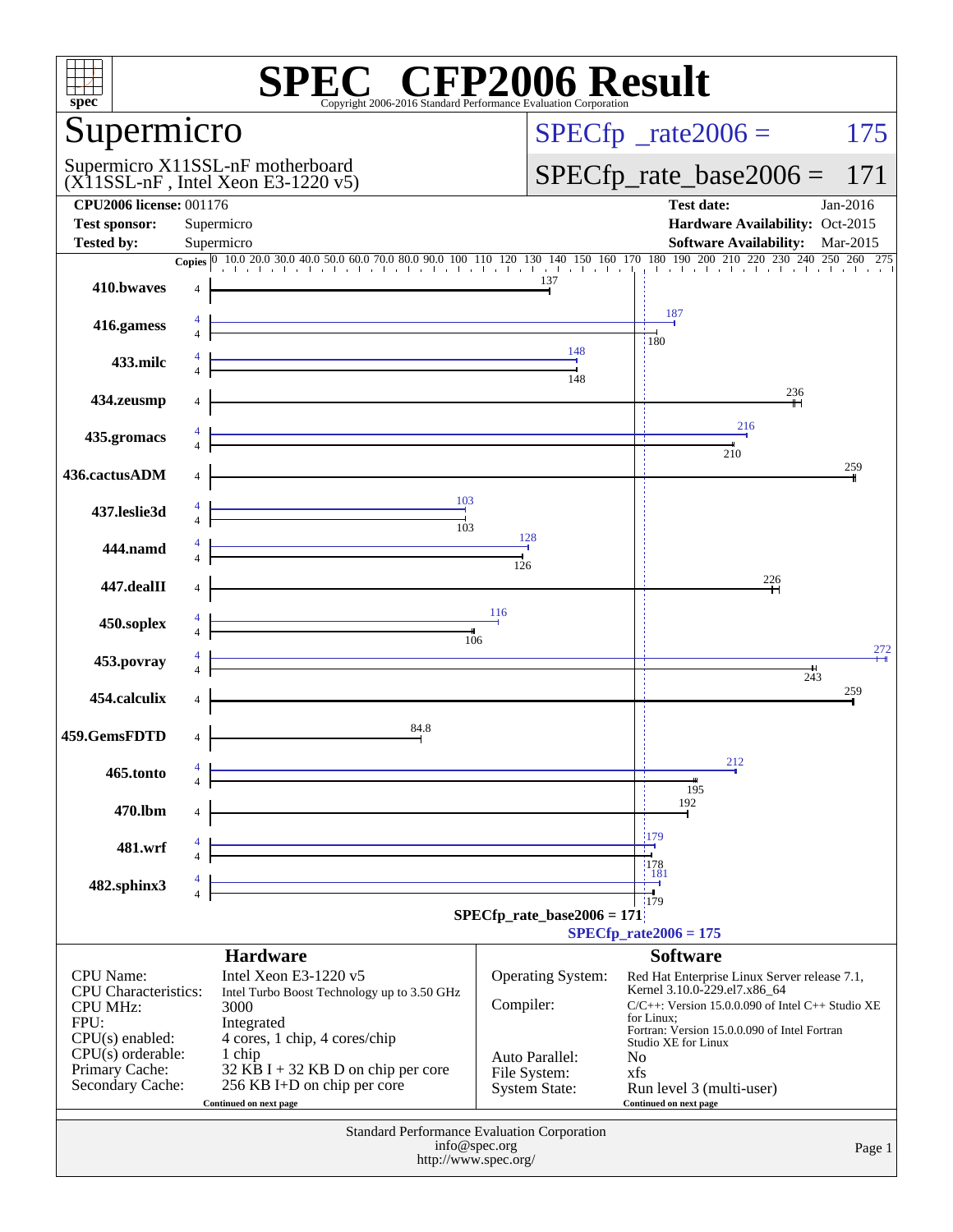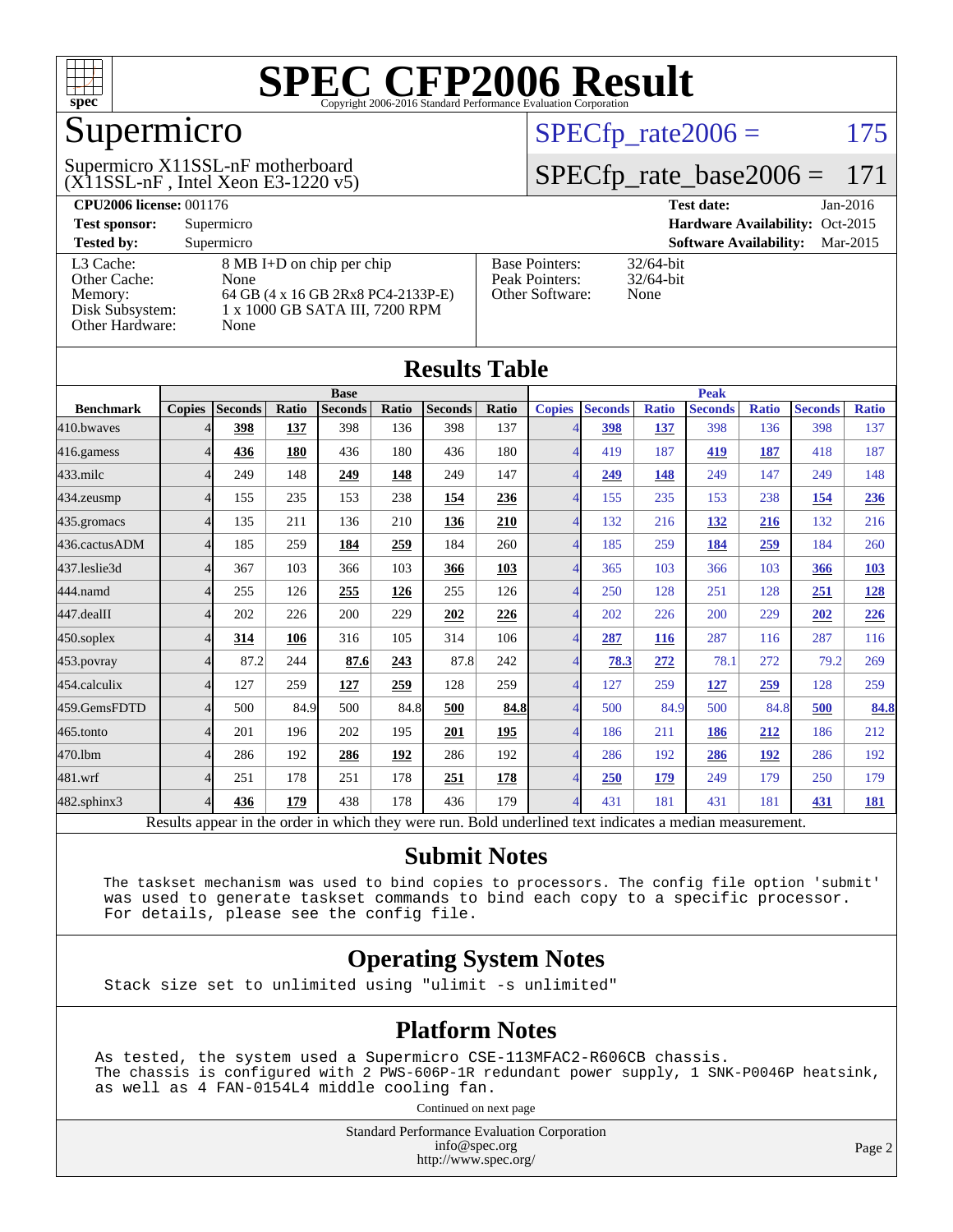

### Supermicro

 $(X11SSL-nF)$ , Intel Xeon E3-1220 v5) Supermicro X11SSL-nF motherboard

 $SPECTp_rate2006 = 175$ 

#### [SPECfp\\_rate\\_base2006 =](http://www.spec.org/auto/cpu2006/Docs/result-fields.html#SPECfpratebase2006) 171

| <b>CPU2006 license: 001176</b> |                                    |                       | <b>Test date:</b><br>Jan-2016             |
|--------------------------------|------------------------------------|-----------------------|-------------------------------------------|
| <b>Test sponsor:</b>           | Supermicro                         |                       | Hardware Availability: Oct-2015           |
| <b>Tested by:</b>              | Supermicro                         |                       | <b>Software Availability:</b><br>Mar-2015 |
| L3 Cache:                      | 8 MB I+D on chip per chip          | <b>Base Pointers:</b> | $32/64$ -bit                              |
| Other Cache:                   | None                               | Peak Pointers:        | $32/64$ -bit                              |
| Memory:                        | 64 GB (4 x 16 GB 2Rx8 PC4-2133P-E) | Other Software:       | None                                      |
| Disk Subsystem:                | 1 x 1000 GB SATA III, 7200 RPM     |                       |                                           |
| Other Hardware:                | None                               |                       |                                           |

| <b>Results Table</b> |                |         |       |                                                                                                          |       |                |       |                          |                |              |                |              |                |              |
|----------------------|----------------|---------|-------|----------------------------------------------------------------------------------------------------------|-------|----------------|-------|--------------------------|----------------|--------------|----------------|--------------|----------------|--------------|
|                      | <b>Base</b>    |         |       |                                                                                                          |       | <b>Peak</b>    |       |                          |                |              |                |              |                |              |
| <b>Benchmark</b>     | <b>Copies</b>  | Seconds | Ratio | <b>Seconds</b>                                                                                           | Ratio | <b>Seconds</b> | Ratio | <b>Copies</b>            | <b>Seconds</b> | <b>Ratio</b> | <b>Seconds</b> | <b>Ratio</b> | <b>Seconds</b> | <b>Ratio</b> |
| 410.bwayes           |                | 398     | 137   | 398                                                                                                      | 136   | 398            | 137   |                          | 398            | 137          | 398            | 136          | 398            | 137          |
| 416.gamess           | 4              | 436     | 180   | 436                                                                                                      | 180   | 436            | 180   | $\overline{\mathcal{A}}$ | 419            | 187          | 419            | 187          | 418            | 187          |
| $433$ .milc          | 4              | 249     | 148   | 249                                                                                                      | 148   | 249            | 147   | 4                        | 249            | 148          | 249            | 147          | 249            | 148          |
| 434.zeusmp           | 4              | 155     | 235   | 153                                                                                                      | 238   | 154            | 236   |                          | 155            | 235          | 153            | 238          | 154            | 236          |
| 435.gromacs          | 4              | 135     | 211   | 136                                                                                                      | 210   | 136            | 210   | $\Delta$                 | 132            | 216          | 132            | 216          | 132            | 216          |
| 436.cactusADM        | $\overline{4}$ | 185     | 259   | 184                                                                                                      | 259   | 184            | 260   | $\overline{4}$           | 185            | 259          | 184            | 259          | 184            | 260          |
| 437.leslie3d         | 4              | 367     | 103   | 366                                                                                                      | 103   | 366            | 103   |                          | 365            | 103          | 366            | 103          | 366            | 103          |
| 444.namd             | 4              | 255     | 126   | 255                                                                                                      | 126   | 255            | 126   |                          | 250            | 128          | 251            | 128          | 251            | <u>128</u>   |
| 447.dealII           | 4              | 202     | 226   | 200                                                                                                      | 229   | 202            | 226   | $\overline{\mathcal{A}}$ | 202            | 226          | 200            | 229          | 202            | 226          |
| $450$ .soplex        | 4              | 314     | 106   | 316                                                                                                      | 105   | 314            | 106   | 4                        | 287            | <b>116</b>   | 287            | 116          | 287            | 116          |
| 453.povray           | 4              | 87.2    | 244   | 87.6                                                                                                     | 243   | 87.8           | 242   | $\Delta$                 | 78.3           | 272          | 78.1           | 272          | 79.2           | 269          |
| 454.calculix         | 4              | 127     | 259   | 127                                                                                                      | 259   | 128            | 259   | $\overline{\mathcal{A}}$ | 127            | 259          | 127            | 259          | 128            | 259          |
| 459.GemsFDTD         | 4              | 500     | 84.9  | 500                                                                                                      | 84.8  | 500            | 84.8  | $\overline{4}$           | 500            | 84.9         | 500            | 84.8         | 500            | 84.8         |
| $465$ .tonto         | 4              | 201     | 196   | 202                                                                                                      | 195   | 201            | 195   |                          | 186            | 211          | 186            | 212          | 186            | 212          |
| 470.1bm              | 4              | 286     | 192   | 286                                                                                                      | 192   | 286            | 192   | $\overline{\mathcal{A}}$ | 286            | 192          | 286            | <u>192</u>   | 286            | 192          |
| 481.wrf              | 4              | 251     | 178   | 251                                                                                                      | 178   | 251            | 178   | $\overline{\mathcal{A}}$ | 250            | 179          | 249            | 179          | 250            | 179          |
| $482$ .sphinx $3$    | 4              | 436     | 179   | 438                                                                                                      | 178   | 436            | 179   | $\boldsymbol{\Delta}$    | 431            | 181          | 431            | 181          | 431            | 181          |
|                      |                |         |       | Results appear in the order in which they were run. Bold underlined text indicates a median measurement. |       |                |       |                          |                |              |                |              |                |              |

#### **[Submit Notes](http://www.spec.org/auto/cpu2006/Docs/result-fields.html#SubmitNotes)**

 The taskset mechanism was used to bind copies to processors. The config file option 'submit' was used to generate taskset commands to bind each copy to a specific processor. For details, please see the config file.

#### **[Operating System Notes](http://www.spec.org/auto/cpu2006/Docs/result-fields.html#OperatingSystemNotes)**

Stack size set to unlimited using "ulimit -s unlimited"

#### **[Platform Notes](http://www.spec.org/auto/cpu2006/Docs/result-fields.html#PlatformNotes)**

As tested, the system used a Supermicro CSE-113MFAC2-R606CB chassis. The chassis is configured with 2 PWS-606P-1R redundant power supply, 1 SNK-P0046P heatsink, as well as 4 FAN-0154L4 middle cooling fan.

Continued on next page

Standard Performance Evaluation Corporation [info@spec.org](mailto:info@spec.org) <http://www.spec.org/>

Page 2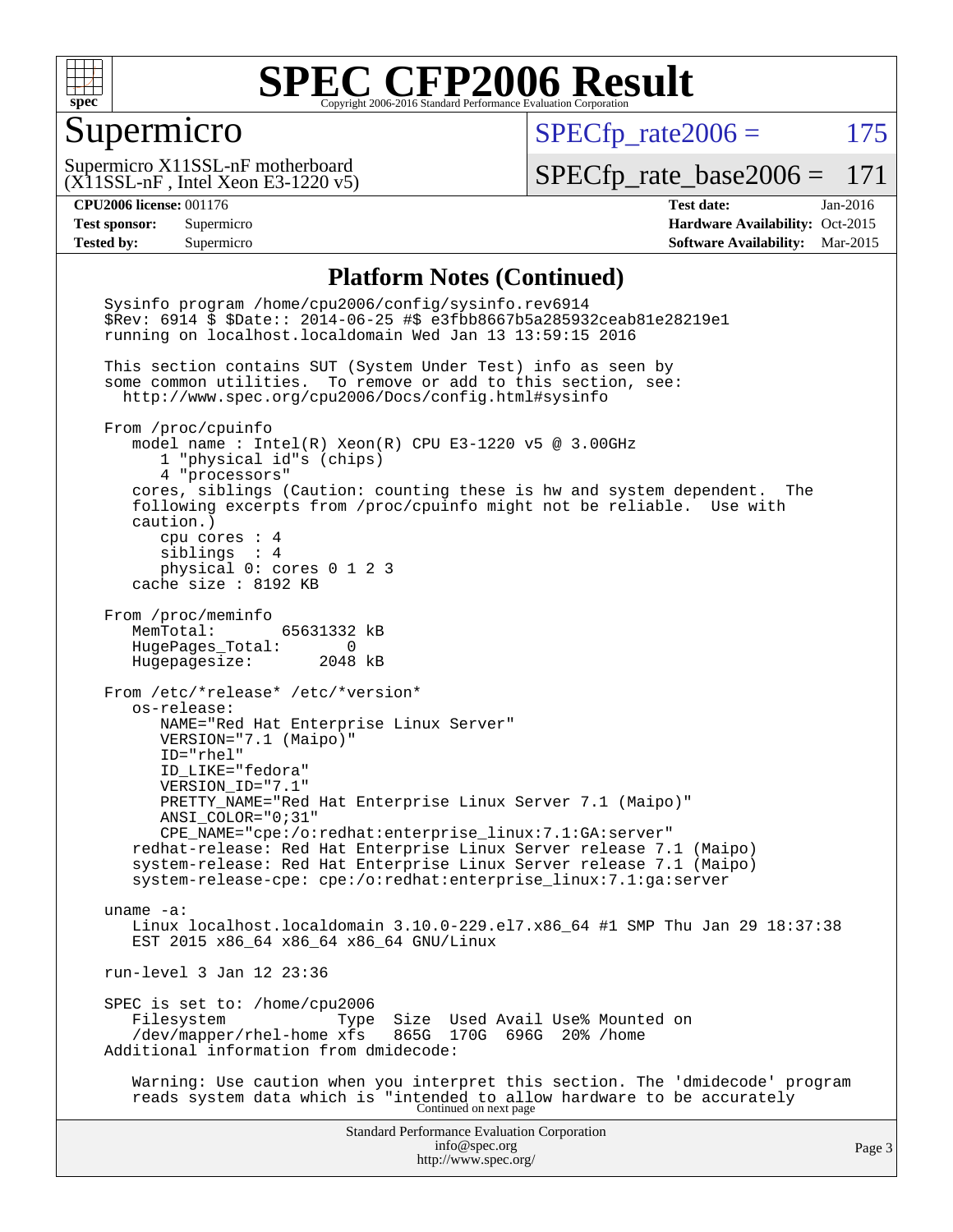

#### Supermicro

 $SPECfp_rate2006 = 175$  $SPECfp_rate2006 = 175$ 

(X11SSL-nF , Intel Xeon E3-1220 v5) Supermicro X11SSL-nF motherboard

[SPECfp\\_rate\\_base2006 =](http://www.spec.org/auto/cpu2006/Docs/result-fields.html#SPECfpratebase2006) 171

**[CPU2006 license:](http://www.spec.org/auto/cpu2006/Docs/result-fields.html#CPU2006license)** 001176 **[Test date:](http://www.spec.org/auto/cpu2006/Docs/result-fields.html#Testdate)** Jan-2016 **[Test sponsor:](http://www.spec.org/auto/cpu2006/Docs/result-fields.html#Testsponsor)** Supermicro Supermicro **[Hardware Availability:](http://www.spec.org/auto/cpu2006/Docs/result-fields.html#HardwareAvailability)** Oct-2015 **[Tested by:](http://www.spec.org/auto/cpu2006/Docs/result-fields.html#Testedby)** Supermicro **Supermicro [Software Availability:](http://www.spec.org/auto/cpu2006/Docs/result-fields.html#SoftwareAvailability)** Mar-2015

#### **[Platform Notes \(Continued\)](http://www.spec.org/auto/cpu2006/Docs/result-fields.html#PlatformNotes)**

Standard Performance Evaluation Corporation [info@spec.org](mailto:info@spec.org) <http://www.spec.org/> Page 3 Sysinfo program /home/cpu2006/config/sysinfo.rev6914 \$Rev: 6914 \$ \$Date:: 2014-06-25 #\$ e3fbb8667b5a285932ceab81e28219e1 running on localhost.localdomain Wed Jan 13 13:59:15 2016 This section contains SUT (System Under Test) info as seen by some common utilities. To remove or add to this section, see: <http://www.spec.org/cpu2006/Docs/config.html#sysinfo> From /proc/cpuinfo model name : Intel(R) Xeon(R) CPU E3-1220 v5 @ 3.00GHz 1 "physical id"s (chips) 4 "processors" cores, siblings (Caution: counting these is hw and system dependent. The following excerpts from /proc/cpuinfo might not be reliable. Use with caution.) cpu cores : 4 siblings : 4 physical 0: cores 0 1 2 3 cache size : 8192 KB From /proc/meminfo MemTotal: 65631332 kB HugePages\_Total: 0 Hugepagesize: 2048 kB From /etc/\*release\* /etc/\*version\* os-release: NAME="Red Hat Enterprise Linux Server" VERSION="7.1 (Maipo)" ID="rhel" ID\_LIKE="fedora" VERSION\_ID="7.1" PRETTY\_NAME="Red Hat Enterprise Linux Server 7.1 (Maipo)" ANSI\_COLOR="0;31" CPE\_NAME="cpe:/o:redhat:enterprise\_linux:7.1:GA:server" redhat-release: Red Hat Enterprise Linux Server release 7.1 (Maipo) system-release: Red Hat Enterprise Linux Server release 7.1 (Maipo) system-release-cpe: cpe:/o:redhat:enterprise\_linux:7.1:ga:server uname -a: Linux localhost.localdomain 3.10.0-229.el7.x86\_64 #1 SMP Thu Jan 29 18:37:38 EST 2015 x86\_64 x86\_64 x86\_64 GNU/Linux run-level 3 Jan 12 23:36 SPEC is set to: /home/cpu2006<br>Filesystem Type Type Size Used Avail Use% Mounted on<br>xfs 865G 170G 696G 20% /home  $/$ dev/mapper/rhel-home  $x$ fs Additional information from dmidecode: Warning: Use caution when you interpret this section. The 'dmidecode' program reads system data which is "intended to allow hardware to be accurately Continued on next page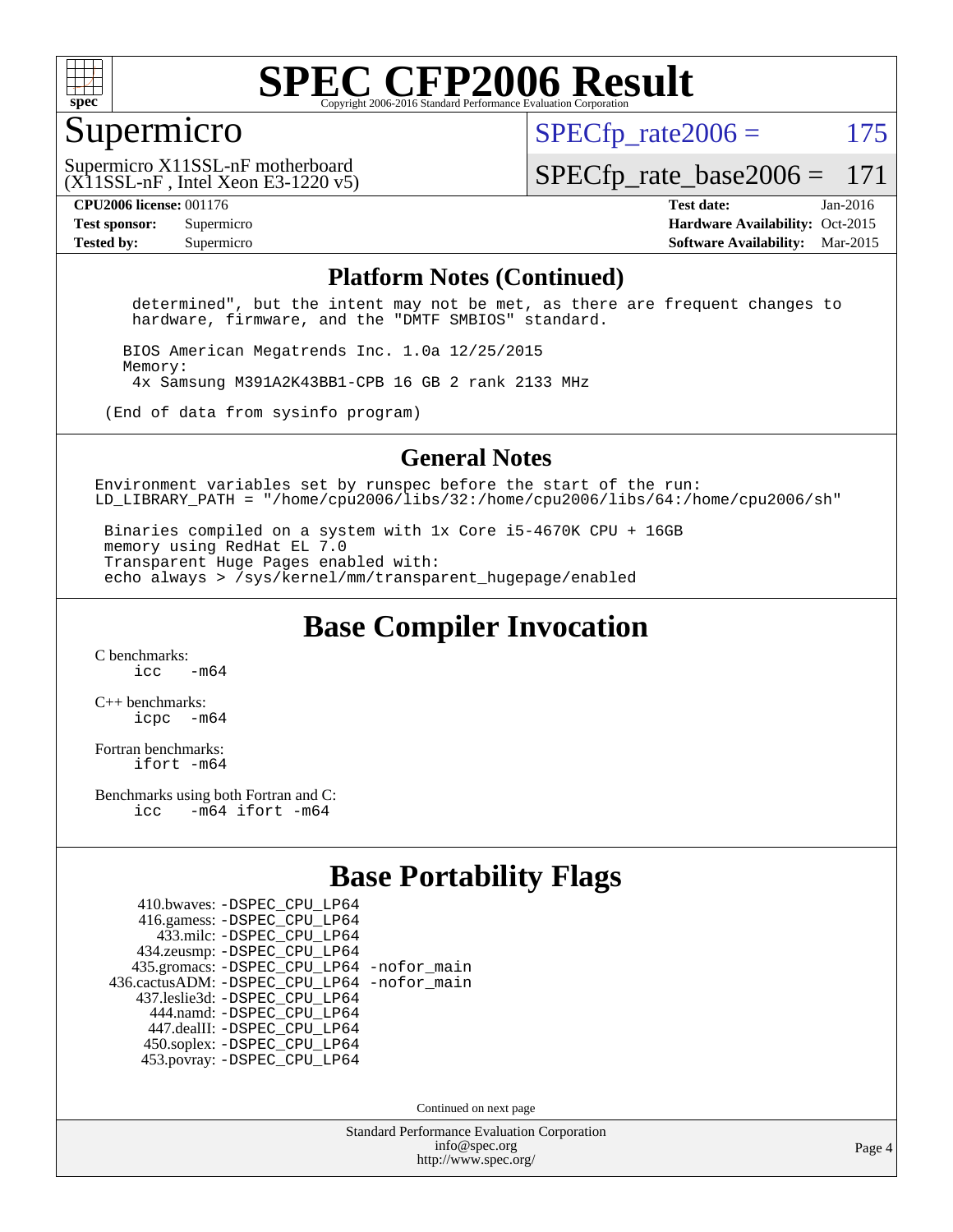

#### Supermicro

 $SPECTp\_rate2006 = 175$ 

(X11SSL-nF , Intel Xeon E3-1220 v5) Supermicro X11SSL-nF motherboard

[SPECfp\\_rate\\_base2006 =](http://www.spec.org/auto/cpu2006/Docs/result-fields.html#SPECfpratebase2006) 171

**[CPU2006 license:](http://www.spec.org/auto/cpu2006/Docs/result-fields.html#CPU2006license)** 001176 **[Test date:](http://www.spec.org/auto/cpu2006/Docs/result-fields.html#Testdate)** Jan-2016 **[Test sponsor:](http://www.spec.org/auto/cpu2006/Docs/result-fields.html#Testsponsor)** Supermicro Supermicro **[Hardware Availability:](http://www.spec.org/auto/cpu2006/Docs/result-fields.html#HardwareAvailability)** Oct-2015 **[Tested by:](http://www.spec.org/auto/cpu2006/Docs/result-fields.html#Testedby)** Supermicro **Supermicro [Software Availability:](http://www.spec.org/auto/cpu2006/Docs/result-fields.html#SoftwareAvailability)** Mar-2015

#### **[Platform Notes \(Continued\)](http://www.spec.org/auto/cpu2006/Docs/result-fields.html#PlatformNotes)**

 determined", but the intent may not be met, as there are frequent changes to hardware, firmware, and the "DMTF SMBIOS" standard.

 BIOS American Megatrends Inc. 1.0a 12/25/2015 Memory: 4x Samsung M391A2K43BB1-CPB 16 GB 2 rank 2133 MHz

(End of data from sysinfo program)

#### **[General Notes](http://www.spec.org/auto/cpu2006/Docs/result-fields.html#GeneralNotes)**

Environment variables set by runspec before the start of the run: LD LIBRARY PATH = "/home/cpu2006/libs/32:/home/cpu2006/libs/64:/home/cpu2006/sh"

 Binaries compiled on a system with 1x Core i5-4670K CPU + 16GB memory using RedHat EL 7.0 Transparent Huge Pages enabled with: echo always > /sys/kernel/mm/transparent\_hugepage/enabled

**[Base Compiler Invocation](http://www.spec.org/auto/cpu2006/Docs/result-fields.html#BaseCompilerInvocation)**

[C benchmarks](http://www.spec.org/auto/cpu2006/Docs/result-fields.html#Cbenchmarks):  $\frac{1}{2}$  cc  $-$  m64

[C++ benchmarks:](http://www.spec.org/auto/cpu2006/Docs/result-fields.html#CXXbenchmarks) [icpc -m64](http://www.spec.org/cpu2006/results/res2016q1/cpu2006-20160120-38720.flags.html#user_CXXbase_intel_icpc_64bit_bedb90c1146cab66620883ef4f41a67e)

[Fortran benchmarks](http://www.spec.org/auto/cpu2006/Docs/result-fields.html#Fortranbenchmarks): [ifort -m64](http://www.spec.org/cpu2006/results/res2016q1/cpu2006-20160120-38720.flags.html#user_FCbase_intel_ifort_64bit_ee9d0fb25645d0210d97eb0527dcc06e)

[Benchmarks using both Fortran and C](http://www.spec.org/auto/cpu2006/Docs/result-fields.html#BenchmarksusingbothFortranandC): [icc -m64](http://www.spec.org/cpu2006/results/res2016q1/cpu2006-20160120-38720.flags.html#user_CC_FCbase_intel_icc_64bit_0b7121f5ab7cfabee23d88897260401c) [ifort -m64](http://www.spec.org/cpu2006/results/res2016q1/cpu2006-20160120-38720.flags.html#user_CC_FCbase_intel_ifort_64bit_ee9d0fb25645d0210d97eb0527dcc06e)

#### **[Base Portability Flags](http://www.spec.org/auto/cpu2006/Docs/result-fields.html#BasePortabilityFlags)**

| 410.bwaves: - DSPEC CPU LP64                 |  |
|----------------------------------------------|--|
| 416.gamess: -DSPEC_CPU_LP64                  |  |
| 433.milc: -DSPEC CPU LP64                    |  |
| 434.zeusmp: -DSPEC_CPU_LP64                  |  |
| 435.gromacs: -DSPEC_CPU_LP64 -nofor_main     |  |
| 436.cactusADM: - DSPEC CPU LP64 - nofor main |  |
| 437.leslie3d: -DSPEC_CPU_LP64                |  |
| 444.namd: - DSPEC CPU LP64                   |  |
| 447.dealII: -DSPEC CPU LP64                  |  |
| 450.soplex: -DSPEC_CPU_LP64                  |  |
| 453.povray: -DSPEC CPU LP64                  |  |

Continued on next page

Standard Performance Evaluation Corporation [info@spec.org](mailto:info@spec.org) <http://www.spec.org/>

Page 4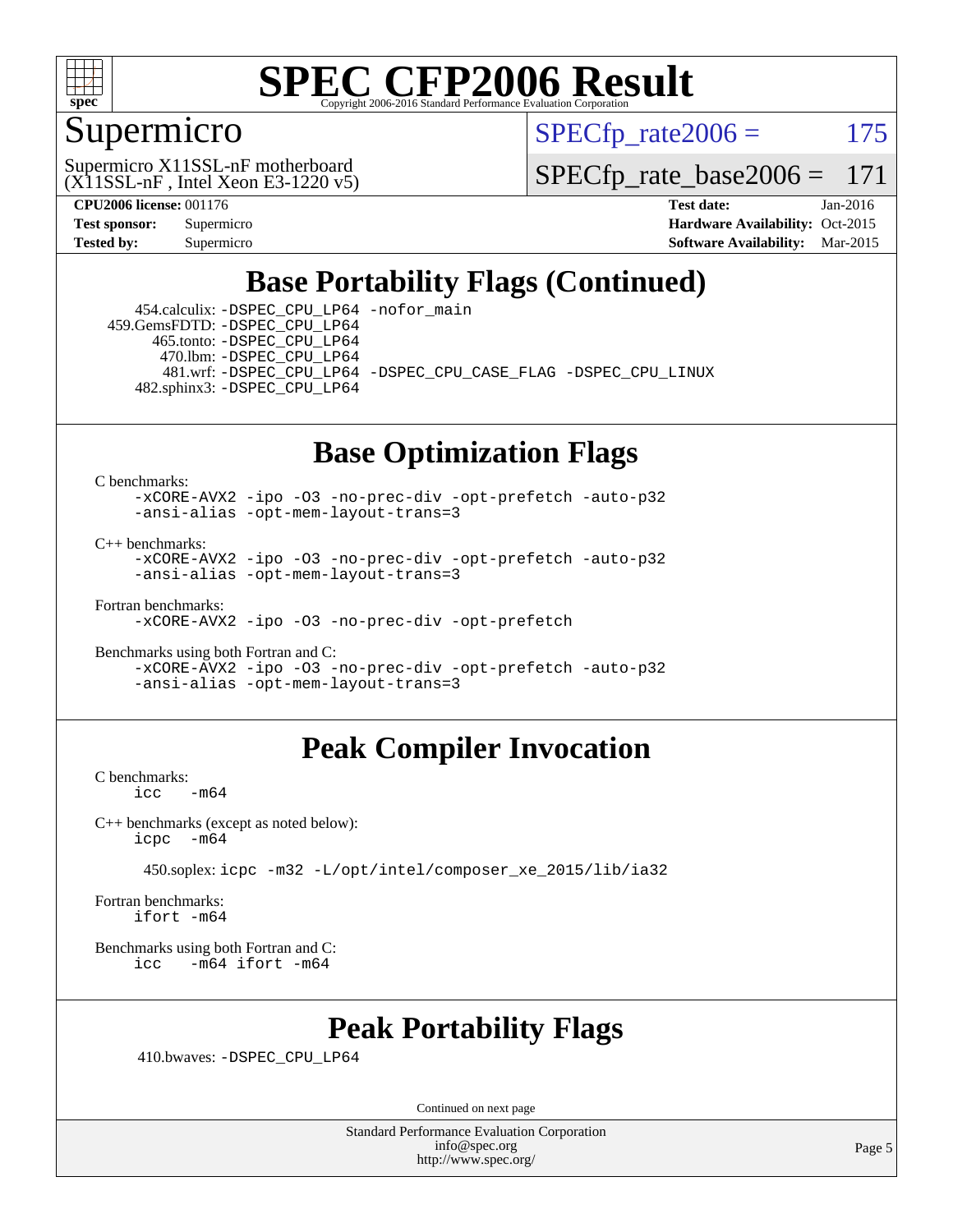

#### Supermicro

 $SPECTp\_rate2006 = 175$ 

(X11SSL-nF , Intel Xeon E3-1220 v5) Supermicro X11SSL-nF motherboard

[SPECfp\\_rate\\_base2006 =](http://www.spec.org/auto/cpu2006/Docs/result-fields.html#SPECfpratebase2006) 171

**[CPU2006 license:](http://www.spec.org/auto/cpu2006/Docs/result-fields.html#CPU2006license)** 001176 **[Test date:](http://www.spec.org/auto/cpu2006/Docs/result-fields.html#Testdate)** Jan-2016 **[Test sponsor:](http://www.spec.org/auto/cpu2006/Docs/result-fields.html#Testsponsor)** Supermicro Supermicro **[Hardware Availability:](http://www.spec.org/auto/cpu2006/Docs/result-fields.html#HardwareAvailability)** Oct-2015 **[Tested by:](http://www.spec.org/auto/cpu2006/Docs/result-fields.html#Testedby)** Supermicro **[Software Availability:](http://www.spec.org/auto/cpu2006/Docs/result-fields.html#SoftwareAvailability)** Mar-2015

### **[Base Portability Flags \(Continued\)](http://www.spec.org/auto/cpu2006/Docs/result-fields.html#BasePortabilityFlags)**

 454.calculix: [-DSPEC\\_CPU\\_LP64](http://www.spec.org/cpu2006/results/res2016q1/cpu2006-20160120-38720.flags.html#suite_basePORTABILITY454_calculix_DSPEC_CPU_LP64) [-nofor\\_main](http://www.spec.org/cpu2006/results/res2016q1/cpu2006-20160120-38720.flags.html#user_baseLDPORTABILITY454_calculix_f-nofor_main) 459.GemsFDTD: [-DSPEC\\_CPU\\_LP64](http://www.spec.org/cpu2006/results/res2016q1/cpu2006-20160120-38720.flags.html#suite_basePORTABILITY459_GemsFDTD_DSPEC_CPU_LP64) 465.tonto: [-DSPEC\\_CPU\\_LP64](http://www.spec.org/cpu2006/results/res2016q1/cpu2006-20160120-38720.flags.html#suite_basePORTABILITY465_tonto_DSPEC_CPU_LP64) 470.lbm: [-DSPEC\\_CPU\\_LP64](http://www.spec.org/cpu2006/results/res2016q1/cpu2006-20160120-38720.flags.html#suite_basePORTABILITY470_lbm_DSPEC_CPU_LP64) 481.wrf: [-DSPEC\\_CPU\\_LP64](http://www.spec.org/cpu2006/results/res2016q1/cpu2006-20160120-38720.flags.html#suite_basePORTABILITY481_wrf_DSPEC_CPU_LP64) [-DSPEC\\_CPU\\_CASE\\_FLAG](http://www.spec.org/cpu2006/results/res2016q1/cpu2006-20160120-38720.flags.html#b481.wrf_baseCPORTABILITY_DSPEC_CPU_CASE_FLAG) [-DSPEC\\_CPU\\_LINUX](http://www.spec.org/cpu2006/results/res2016q1/cpu2006-20160120-38720.flags.html#b481.wrf_baseCPORTABILITY_DSPEC_CPU_LINUX) 482.sphinx3: [-DSPEC\\_CPU\\_LP64](http://www.spec.org/cpu2006/results/res2016q1/cpu2006-20160120-38720.flags.html#suite_basePORTABILITY482_sphinx3_DSPEC_CPU_LP64)

### **[Base Optimization Flags](http://www.spec.org/auto/cpu2006/Docs/result-fields.html#BaseOptimizationFlags)**

[C benchmarks](http://www.spec.org/auto/cpu2006/Docs/result-fields.html#Cbenchmarks):

[-xCORE-AVX2](http://www.spec.org/cpu2006/results/res2016q1/cpu2006-20160120-38720.flags.html#user_CCbase_f-xAVX2_5f5fc0cbe2c9f62c816d3e45806c70d7) [-ipo](http://www.spec.org/cpu2006/results/res2016q1/cpu2006-20160120-38720.flags.html#user_CCbase_f-ipo) [-O3](http://www.spec.org/cpu2006/results/res2016q1/cpu2006-20160120-38720.flags.html#user_CCbase_f-O3) [-no-prec-div](http://www.spec.org/cpu2006/results/res2016q1/cpu2006-20160120-38720.flags.html#user_CCbase_f-no-prec-div) [-opt-prefetch](http://www.spec.org/cpu2006/results/res2016q1/cpu2006-20160120-38720.flags.html#user_CCbase_f-opt-prefetch) [-auto-p32](http://www.spec.org/cpu2006/results/res2016q1/cpu2006-20160120-38720.flags.html#user_CCbase_f-auto-p32) [-ansi-alias](http://www.spec.org/cpu2006/results/res2016q1/cpu2006-20160120-38720.flags.html#user_CCbase_f-ansi-alias) [-opt-mem-layout-trans=3](http://www.spec.org/cpu2006/results/res2016q1/cpu2006-20160120-38720.flags.html#user_CCbase_f-opt-mem-layout-trans_a7b82ad4bd7abf52556d4961a2ae94d5)

[C++ benchmarks:](http://www.spec.org/auto/cpu2006/Docs/result-fields.html#CXXbenchmarks)

[-xCORE-AVX2](http://www.spec.org/cpu2006/results/res2016q1/cpu2006-20160120-38720.flags.html#user_CXXbase_f-xAVX2_5f5fc0cbe2c9f62c816d3e45806c70d7) [-ipo](http://www.spec.org/cpu2006/results/res2016q1/cpu2006-20160120-38720.flags.html#user_CXXbase_f-ipo) [-O3](http://www.spec.org/cpu2006/results/res2016q1/cpu2006-20160120-38720.flags.html#user_CXXbase_f-O3) [-no-prec-div](http://www.spec.org/cpu2006/results/res2016q1/cpu2006-20160120-38720.flags.html#user_CXXbase_f-no-prec-div) [-opt-prefetch](http://www.spec.org/cpu2006/results/res2016q1/cpu2006-20160120-38720.flags.html#user_CXXbase_f-opt-prefetch) [-auto-p32](http://www.spec.org/cpu2006/results/res2016q1/cpu2006-20160120-38720.flags.html#user_CXXbase_f-auto-p32) [-ansi-alias](http://www.spec.org/cpu2006/results/res2016q1/cpu2006-20160120-38720.flags.html#user_CXXbase_f-ansi-alias) [-opt-mem-layout-trans=3](http://www.spec.org/cpu2006/results/res2016q1/cpu2006-20160120-38720.flags.html#user_CXXbase_f-opt-mem-layout-trans_a7b82ad4bd7abf52556d4961a2ae94d5)

[Fortran benchmarks](http://www.spec.org/auto/cpu2006/Docs/result-fields.html#Fortranbenchmarks):

[-xCORE-AVX2](http://www.spec.org/cpu2006/results/res2016q1/cpu2006-20160120-38720.flags.html#user_FCbase_f-xAVX2_5f5fc0cbe2c9f62c816d3e45806c70d7) [-ipo](http://www.spec.org/cpu2006/results/res2016q1/cpu2006-20160120-38720.flags.html#user_FCbase_f-ipo) [-O3](http://www.spec.org/cpu2006/results/res2016q1/cpu2006-20160120-38720.flags.html#user_FCbase_f-O3) [-no-prec-div](http://www.spec.org/cpu2006/results/res2016q1/cpu2006-20160120-38720.flags.html#user_FCbase_f-no-prec-div) [-opt-prefetch](http://www.spec.org/cpu2006/results/res2016q1/cpu2006-20160120-38720.flags.html#user_FCbase_f-opt-prefetch)

[Benchmarks using both Fortran and C](http://www.spec.org/auto/cpu2006/Docs/result-fields.html#BenchmarksusingbothFortranandC): [-xCORE-AVX2](http://www.spec.org/cpu2006/results/res2016q1/cpu2006-20160120-38720.flags.html#user_CC_FCbase_f-xAVX2_5f5fc0cbe2c9f62c816d3e45806c70d7) [-ipo](http://www.spec.org/cpu2006/results/res2016q1/cpu2006-20160120-38720.flags.html#user_CC_FCbase_f-ipo) [-O3](http://www.spec.org/cpu2006/results/res2016q1/cpu2006-20160120-38720.flags.html#user_CC_FCbase_f-O3) [-no-prec-div](http://www.spec.org/cpu2006/results/res2016q1/cpu2006-20160120-38720.flags.html#user_CC_FCbase_f-no-prec-div) [-opt-prefetch](http://www.spec.org/cpu2006/results/res2016q1/cpu2006-20160120-38720.flags.html#user_CC_FCbase_f-opt-prefetch) [-auto-p32](http://www.spec.org/cpu2006/results/res2016q1/cpu2006-20160120-38720.flags.html#user_CC_FCbase_f-auto-p32) [-ansi-alias](http://www.spec.org/cpu2006/results/res2016q1/cpu2006-20160120-38720.flags.html#user_CC_FCbase_f-ansi-alias) [-opt-mem-layout-trans=3](http://www.spec.org/cpu2006/results/res2016q1/cpu2006-20160120-38720.flags.html#user_CC_FCbase_f-opt-mem-layout-trans_a7b82ad4bd7abf52556d4961a2ae94d5)

### **[Peak Compiler Invocation](http://www.spec.org/auto/cpu2006/Docs/result-fields.html#PeakCompilerInvocation)**

[C benchmarks](http://www.spec.org/auto/cpu2006/Docs/result-fields.html#Cbenchmarks):  $-m64$ 

[C++ benchmarks \(except as noted below\):](http://www.spec.org/auto/cpu2006/Docs/result-fields.html#CXXbenchmarksexceptasnotedbelow) [icpc -m64](http://www.spec.org/cpu2006/results/res2016q1/cpu2006-20160120-38720.flags.html#user_CXXpeak_intel_icpc_64bit_bedb90c1146cab66620883ef4f41a67e)

450.soplex: [icpc -m32 -L/opt/intel/composer\\_xe\\_2015/lib/ia32](http://www.spec.org/cpu2006/results/res2016q1/cpu2006-20160120-38720.flags.html#user_peakCXXLD450_soplex_intel_icpc_c2c99686a1a582c3e0de0b4806b02cea)

[Fortran benchmarks](http://www.spec.org/auto/cpu2006/Docs/result-fields.html#Fortranbenchmarks): [ifort -m64](http://www.spec.org/cpu2006/results/res2016q1/cpu2006-20160120-38720.flags.html#user_FCpeak_intel_ifort_64bit_ee9d0fb25645d0210d97eb0527dcc06e)

[Benchmarks using both Fortran and C](http://www.spec.org/auto/cpu2006/Docs/result-fields.html#BenchmarksusingbothFortranandC): [icc -m64](http://www.spec.org/cpu2006/results/res2016q1/cpu2006-20160120-38720.flags.html#user_CC_FCpeak_intel_icc_64bit_0b7121f5ab7cfabee23d88897260401c) [ifort -m64](http://www.spec.org/cpu2006/results/res2016q1/cpu2006-20160120-38720.flags.html#user_CC_FCpeak_intel_ifort_64bit_ee9d0fb25645d0210d97eb0527dcc06e)

### **[Peak Portability Flags](http://www.spec.org/auto/cpu2006/Docs/result-fields.html#PeakPortabilityFlags)**

410.bwaves: [-DSPEC\\_CPU\\_LP64](http://www.spec.org/cpu2006/results/res2016q1/cpu2006-20160120-38720.flags.html#suite_peakPORTABILITY410_bwaves_DSPEC_CPU_LP64)

Continued on next page

Standard Performance Evaluation Corporation [info@spec.org](mailto:info@spec.org) <http://www.spec.org/>

Page 5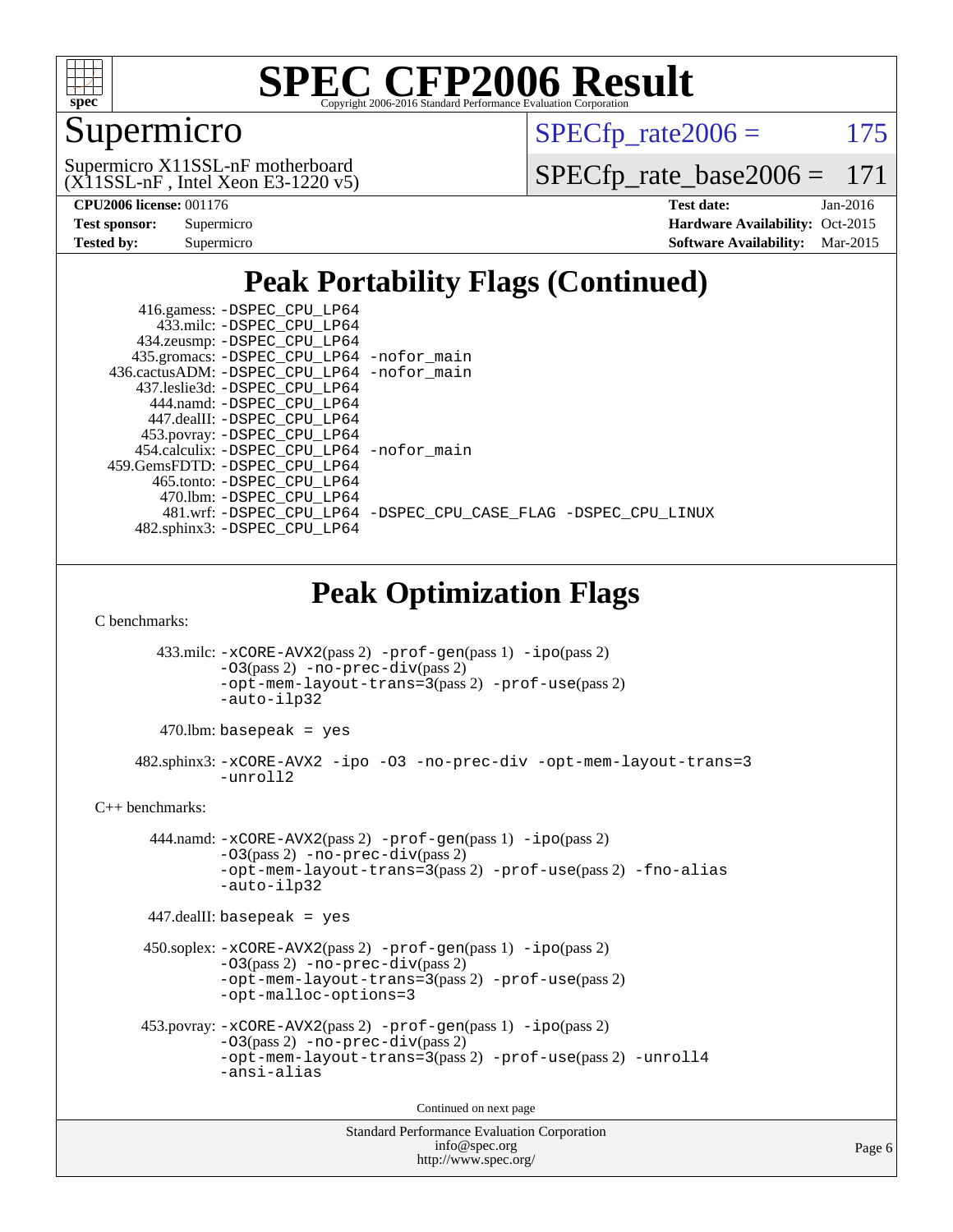

## Supermicro

 $SPECTp_rate2006 = 175$ 

 $(X11SSL-nF,$  Intel Xeon E3-1220 v5) Supermicro X11SSL-nF motherboard

[SPECfp\\_rate\\_base2006 =](http://www.spec.org/auto/cpu2006/Docs/result-fields.html#SPECfpratebase2006) 171

**[CPU2006 license:](http://www.spec.org/auto/cpu2006/Docs/result-fields.html#CPU2006license)** 001176 **[Test date:](http://www.spec.org/auto/cpu2006/Docs/result-fields.html#Testdate)** Jan-2016

| <b>Test sponsor:</b> | Supermicro |
|----------------------|------------|
| <b>Tested by:</b>    | Supermicro |

**[Hardware Availability:](http://www.spec.org/auto/cpu2006/Docs/result-fields.html#HardwareAvailability)** Oct-2015 **[Software Availability:](http://www.spec.org/auto/cpu2006/Docs/result-fields.html#SoftwareAvailability)** Mar-2015

### **[Peak Portability Flags \(Continued\)](http://www.spec.org/auto/cpu2006/Docs/result-fields.html#PeakPortabilityFlags)**

|                                                                                    | 416.gamess: -DSPEC_CPU_LP64                                               |  |  |  |  |  |  |
|------------------------------------------------------------------------------------|---------------------------------------------------------------------------|--|--|--|--|--|--|
|                                                                                    | 433.milc: -DSPEC_CPU_LP64<br>434.zeusmp: -DSPEC_CPU_LP64                  |  |  |  |  |  |  |
|                                                                                    | 435.gromacs: -DSPEC_CPU_LP64 -nofor_main                                  |  |  |  |  |  |  |
|                                                                                    | 436.cactusADM: -DSPEC_CPU_LP64 -nofor_main                                |  |  |  |  |  |  |
|                                                                                    | 437.leslie3d: -DSPEC_CPU_LP64                                             |  |  |  |  |  |  |
|                                                                                    | 444.namd: - DSPEC_CPU_LP64                                                |  |  |  |  |  |  |
|                                                                                    | 447.dealII: -DSPEC_CPU_LP64                                               |  |  |  |  |  |  |
|                                                                                    | 453.povray: -DSPEC_CPU_LP64                                               |  |  |  |  |  |  |
|                                                                                    | 454.calculix: -DSPEC_CPU_LP64 -nofor_main                                 |  |  |  |  |  |  |
|                                                                                    | 459.GemsFDTD: - DSPEC_CPU_LP64                                            |  |  |  |  |  |  |
|                                                                                    | 465.tonto: -DSPEC_CPU_LP64                                                |  |  |  |  |  |  |
|                                                                                    | 470.1bm: -DSPEC_CPU_LP64                                                  |  |  |  |  |  |  |
|                                                                                    | 481.wrf: -DSPEC_CPU_LP64 -DSPEC_CPU_CASE_FLAG -DSPEC_CPU_LINUX            |  |  |  |  |  |  |
|                                                                                    | 482.sphinx3: -DSPEC_CPU_LP64                                              |  |  |  |  |  |  |
| <b>Peak Optimization Flags</b><br>C benchmarks:                                    |                                                                           |  |  |  |  |  |  |
|                                                                                    |                                                                           |  |  |  |  |  |  |
|                                                                                    | 433.milc: -xCORE-AVX2(pass 2) -prof-gen(pass 1) -ipo(pass 2)              |  |  |  |  |  |  |
|                                                                                    | $-03(pass 2)$ -no-prec-div(pass 2)                                        |  |  |  |  |  |  |
|                                                                                    | -opt-mem-layout-trans=3(pass 2) -prof-use(pass 2)<br>-auto-ilp32          |  |  |  |  |  |  |
|                                                                                    |                                                                           |  |  |  |  |  |  |
|                                                                                    | $470$ .lbm: basepeak = yes                                                |  |  |  |  |  |  |
| 482.sphinx3: -xCORE-AVX2 -ipo -03 -no-prec-div -opt-mem-layout-trans=3<br>-unroll2 |                                                                           |  |  |  |  |  |  |
| $C_{++}$ benchmarks:                                                               |                                                                           |  |  |  |  |  |  |
|                                                                                    | 444.namd: -xCORE-AVX2(pass 2) -prof-gen(pass 1) -ipo(pass 2)              |  |  |  |  |  |  |
| $-03(pass 2)$ -no-prec-div(pass 2)                                                 |                                                                           |  |  |  |  |  |  |
| -opt-mem-layout-trans=3(pass 2) -prof-use(pass 2) -fno-alias                       |                                                                           |  |  |  |  |  |  |
| -auto-ilp32                                                                        |                                                                           |  |  |  |  |  |  |
|                                                                                    |                                                                           |  |  |  |  |  |  |
|                                                                                    | $447$ .dealII: basepeak = yes                                             |  |  |  |  |  |  |
| 450.soplex: -xCORE-AVX2(pass 2) -prof-gen(pass 1) -ipo(pass 2)                     |                                                                           |  |  |  |  |  |  |
|                                                                                    | -03(pass 2) -no-prec-div(pass 2)                                          |  |  |  |  |  |  |
|                                                                                    | -opt-mem-layout-trans=3(pass 2) -prof-use(pass 2)                         |  |  |  |  |  |  |
| -opt-malloc-options=3                                                              |                                                                           |  |  |  |  |  |  |
|                                                                                    |                                                                           |  |  |  |  |  |  |
|                                                                                    | 453.povray: -xCORE-AVX2(pass 2) -prof-gen(pass 1) -ipo(pass 2)            |  |  |  |  |  |  |
|                                                                                    | -03(pass 2) -no-prec-div(pass 2)                                          |  |  |  |  |  |  |
|                                                                                    | -opt-mem-layout-trans=3(pass 2) -prof-use(pass 2) -unroll4<br>-ansi-alias |  |  |  |  |  |  |
|                                                                                    |                                                                           |  |  |  |  |  |  |
| Continued on next page                                                             |                                                                           |  |  |  |  |  |  |
|                                                                                    | Standard Performance Evaluation Corporation                               |  |  |  |  |  |  |
|                                                                                    | info@spec.org                                                             |  |  |  |  |  |  |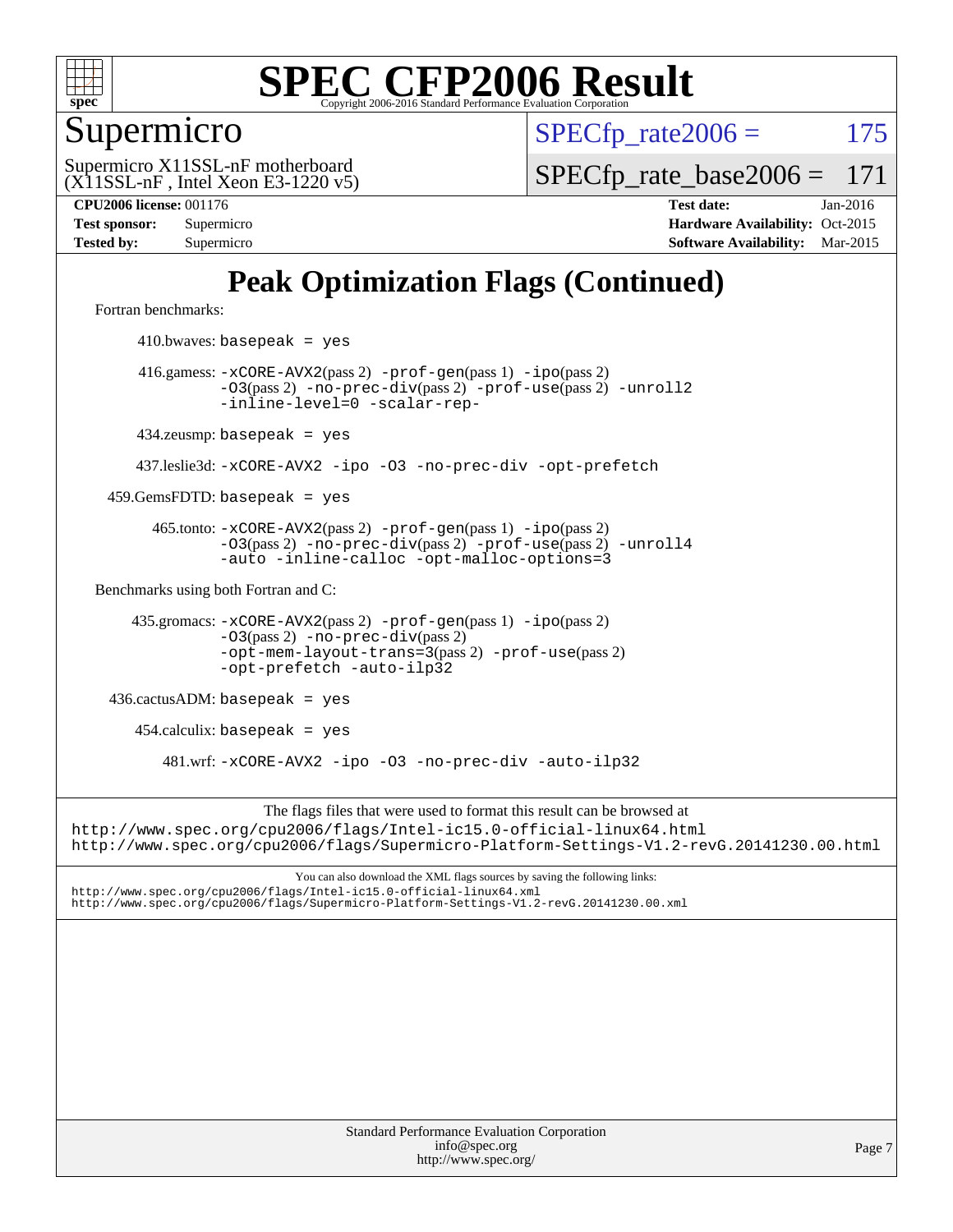

Supermicro

 $SPECTp\_rate2006 = 175$ 

(X11SSL-nF , Intel Xeon E3-1220 v5) Supermicro X11SSL-nF motherboard

[SPECfp\\_rate\\_base2006 =](http://www.spec.org/auto/cpu2006/Docs/result-fields.html#SPECfpratebase2006) 171

**[CPU2006 license:](http://www.spec.org/auto/cpu2006/Docs/result-fields.html#CPU2006license)** 001176 **[Test date:](http://www.spec.org/auto/cpu2006/Docs/result-fields.html#Testdate)** Jan-2016 **[Test sponsor:](http://www.spec.org/auto/cpu2006/Docs/result-fields.html#Testsponsor)** Supermicro Supermicro **[Hardware Availability:](http://www.spec.org/auto/cpu2006/Docs/result-fields.html#HardwareAvailability)** Oct-2015 **[Tested by:](http://www.spec.org/auto/cpu2006/Docs/result-fields.html#Testedby)** Supermicro **[Software Availability:](http://www.spec.org/auto/cpu2006/Docs/result-fields.html#SoftwareAvailability)** Mar-2015

### **[Peak Optimization Flags \(Continued\)](http://www.spec.org/auto/cpu2006/Docs/result-fields.html#PeakOptimizationFlags)**

[Fortran benchmarks](http://www.spec.org/auto/cpu2006/Docs/result-fields.html#Fortranbenchmarks):

 $410.bwaves: basepeak = yes$  416.gamess: [-xCORE-AVX2](http://www.spec.org/cpu2006/results/res2016q1/cpu2006-20160120-38720.flags.html#user_peakPASS2_FFLAGSPASS2_LDFLAGS416_gamess_f-xAVX2_5f5fc0cbe2c9f62c816d3e45806c70d7)(pass 2) [-prof-gen](http://www.spec.org/cpu2006/results/res2016q1/cpu2006-20160120-38720.flags.html#user_peakPASS1_FFLAGSPASS1_LDFLAGS416_gamess_prof_gen_e43856698f6ca7b7e442dfd80e94a8fc)(pass 1) [-ipo](http://www.spec.org/cpu2006/results/res2016q1/cpu2006-20160120-38720.flags.html#user_peakPASS2_FFLAGSPASS2_LDFLAGS416_gamess_f-ipo)(pass 2) [-O3](http://www.spec.org/cpu2006/results/res2016q1/cpu2006-20160120-38720.flags.html#user_peakPASS2_FFLAGSPASS2_LDFLAGS416_gamess_f-O3)(pass 2) [-no-prec-div](http://www.spec.org/cpu2006/results/res2016q1/cpu2006-20160120-38720.flags.html#user_peakPASS2_FFLAGSPASS2_LDFLAGS416_gamess_f-no-prec-div)(pass 2) [-prof-use](http://www.spec.org/cpu2006/results/res2016q1/cpu2006-20160120-38720.flags.html#user_peakPASS2_FFLAGSPASS2_LDFLAGS416_gamess_prof_use_bccf7792157ff70d64e32fe3e1250b55)(pass 2) [-unroll2](http://www.spec.org/cpu2006/results/res2016q1/cpu2006-20160120-38720.flags.html#user_peakOPTIMIZE416_gamess_f-unroll_784dae83bebfb236979b41d2422d7ec2) [-inline-level=0](http://www.spec.org/cpu2006/results/res2016q1/cpu2006-20160120-38720.flags.html#user_peakOPTIMIZE416_gamess_f-inline-level_318d07a09274ad25e8d15dbfaa68ba50) [-scalar-rep-](http://www.spec.org/cpu2006/results/res2016q1/cpu2006-20160120-38720.flags.html#user_peakOPTIMIZE416_gamess_f-disablescalarrep_abbcad04450fb118e4809c81d83c8a1d) 434.zeusmp: basepeak = yes 437.leslie3d: [-xCORE-AVX2](http://www.spec.org/cpu2006/results/res2016q1/cpu2006-20160120-38720.flags.html#user_peakOPTIMIZE437_leslie3d_f-xAVX2_5f5fc0cbe2c9f62c816d3e45806c70d7) [-ipo](http://www.spec.org/cpu2006/results/res2016q1/cpu2006-20160120-38720.flags.html#user_peakOPTIMIZE437_leslie3d_f-ipo) [-O3](http://www.spec.org/cpu2006/results/res2016q1/cpu2006-20160120-38720.flags.html#user_peakOPTIMIZE437_leslie3d_f-O3) [-no-prec-div](http://www.spec.org/cpu2006/results/res2016q1/cpu2006-20160120-38720.flags.html#user_peakOPTIMIZE437_leslie3d_f-no-prec-div) [-opt-prefetch](http://www.spec.org/cpu2006/results/res2016q1/cpu2006-20160120-38720.flags.html#user_peakOPTIMIZE437_leslie3d_f-opt-prefetch)  $459.GemsFDTD: basepeak = yes$  465.tonto: [-xCORE-AVX2](http://www.spec.org/cpu2006/results/res2016q1/cpu2006-20160120-38720.flags.html#user_peakPASS2_FFLAGSPASS2_LDFLAGS465_tonto_f-xAVX2_5f5fc0cbe2c9f62c816d3e45806c70d7)(pass 2) [-prof-gen](http://www.spec.org/cpu2006/results/res2016q1/cpu2006-20160120-38720.flags.html#user_peakPASS1_FFLAGSPASS1_LDFLAGS465_tonto_prof_gen_e43856698f6ca7b7e442dfd80e94a8fc)(pass 1) [-ipo](http://www.spec.org/cpu2006/results/res2016q1/cpu2006-20160120-38720.flags.html#user_peakPASS2_FFLAGSPASS2_LDFLAGS465_tonto_f-ipo)(pass 2) [-O3](http://www.spec.org/cpu2006/results/res2016q1/cpu2006-20160120-38720.flags.html#user_peakPASS2_FFLAGSPASS2_LDFLAGS465_tonto_f-O3)(pass 2) [-no-prec-div](http://www.spec.org/cpu2006/results/res2016q1/cpu2006-20160120-38720.flags.html#user_peakPASS2_FFLAGSPASS2_LDFLAGS465_tonto_f-no-prec-div)(pass 2) [-prof-use](http://www.spec.org/cpu2006/results/res2016q1/cpu2006-20160120-38720.flags.html#user_peakPASS2_FFLAGSPASS2_LDFLAGS465_tonto_prof_use_bccf7792157ff70d64e32fe3e1250b55)(pass 2) [-unroll4](http://www.spec.org/cpu2006/results/res2016q1/cpu2006-20160120-38720.flags.html#user_peakOPTIMIZE465_tonto_f-unroll_4e5e4ed65b7fd20bdcd365bec371b81f) [-auto](http://www.spec.org/cpu2006/results/res2016q1/cpu2006-20160120-38720.flags.html#user_peakOPTIMIZE465_tonto_f-auto) [-inline-calloc](http://www.spec.org/cpu2006/results/res2016q1/cpu2006-20160120-38720.flags.html#user_peakOPTIMIZE465_tonto_f-inline-calloc) [-opt-malloc-options=3](http://www.spec.org/cpu2006/results/res2016q1/cpu2006-20160120-38720.flags.html#user_peakOPTIMIZE465_tonto_f-opt-malloc-options_13ab9b803cf986b4ee62f0a5998c2238) [Benchmarks using both Fortran and C](http://www.spec.org/auto/cpu2006/Docs/result-fields.html#BenchmarksusingbothFortranandC): 435.gromacs: [-xCORE-AVX2](http://www.spec.org/cpu2006/results/res2016q1/cpu2006-20160120-38720.flags.html#user_peakPASS2_CFLAGSPASS2_FFLAGSPASS2_LDFLAGS435_gromacs_f-xAVX2_5f5fc0cbe2c9f62c816d3e45806c70d7)(pass 2) [-prof-gen](http://www.spec.org/cpu2006/results/res2016q1/cpu2006-20160120-38720.flags.html#user_peakPASS1_CFLAGSPASS1_FFLAGSPASS1_LDFLAGS435_gromacs_prof_gen_e43856698f6ca7b7e442dfd80e94a8fc)(pass 1) [-ipo](http://www.spec.org/cpu2006/results/res2016q1/cpu2006-20160120-38720.flags.html#user_peakPASS2_CFLAGSPASS2_FFLAGSPASS2_LDFLAGS435_gromacs_f-ipo)(pass 2) [-O3](http://www.spec.org/cpu2006/results/res2016q1/cpu2006-20160120-38720.flags.html#user_peakPASS2_CFLAGSPASS2_FFLAGSPASS2_LDFLAGS435_gromacs_f-O3)(pass 2) [-no-prec-div](http://www.spec.org/cpu2006/results/res2016q1/cpu2006-20160120-38720.flags.html#user_peakPASS2_CFLAGSPASS2_FFLAGSPASS2_LDFLAGS435_gromacs_f-no-prec-div)(pass 2) [-opt-mem-layout-trans=3](http://www.spec.org/cpu2006/results/res2016q1/cpu2006-20160120-38720.flags.html#user_peakPASS2_CFLAGS435_gromacs_f-opt-mem-layout-trans_a7b82ad4bd7abf52556d4961a2ae94d5)(pass 2) [-prof-use](http://www.spec.org/cpu2006/results/res2016q1/cpu2006-20160120-38720.flags.html#user_peakPASS2_CFLAGSPASS2_FFLAGSPASS2_LDFLAGS435_gromacs_prof_use_bccf7792157ff70d64e32fe3e1250b55)(pass 2) [-opt-prefetch](http://www.spec.org/cpu2006/results/res2016q1/cpu2006-20160120-38720.flags.html#user_peakOPTIMIZE435_gromacs_f-opt-prefetch) [-auto-ilp32](http://www.spec.org/cpu2006/results/res2016q1/cpu2006-20160120-38720.flags.html#user_peakCOPTIMIZE435_gromacs_f-auto-ilp32) 436.cactusADM: basepeak = yes  $454$ .calculix: basepeak = yes 481.wrf: [-xCORE-AVX2](http://www.spec.org/cpu2006/results/res2016q1/cpu2006-20160120-38720.flags.html#user_peakOPTIMIZE481_wrf_f-xAVX2_5f5fc0cbe2c9f62c816d3e45806c70d7) [-ipo](http://www.spec.org/cpu2006/results/res2016q1/cpu2006-20160120-38720.flags.html#user_peakOPTIMIZE481_wrf_f-ipo) [-O3](http://www.spec.org/cpu2006/results/res2016q1/cpu2006-20160120-38720.flags.html#user_peakOPTIMIZE481_wrf_f-O3) [-no-prec-div](http://www.spec.org/cpu2006/results/res2016q1/cpu2006-20160120-38720.flags.html#user_peakOPTIMIZE481_wrf_f-no-prec-div) [-auto-ilp32](http://www.spec.org/cpu2006/results/res2016q1/cpu2006-20160120-38720.flags.html#user_peakCOPTIMIZE481_wrf_f-auto-ilp32) The flags files that were used to format this result can be browsed at <http://www.spec.org/cpu2006/flags/Intel-ic15.0-official-linux64.html> <http://www.spec.org/cpu2006/flags/Supermicro-Platform-Settings-V1.2-revG.20141230.00.html> You can also download the XML flags sources by saving the following links: <http://www.spec.org/cpu2006/flags/Intel-ic15.0-official-linux64.xml> <http://www.spec.org/cpu2006/flags/Supermicro-Platform-Settings-V1.2-revG.20141230.00.xml>

Standard Performance Evaluation Corporation [info@spec.org](mailto:info@spec.org) <http://www.spec.org/>